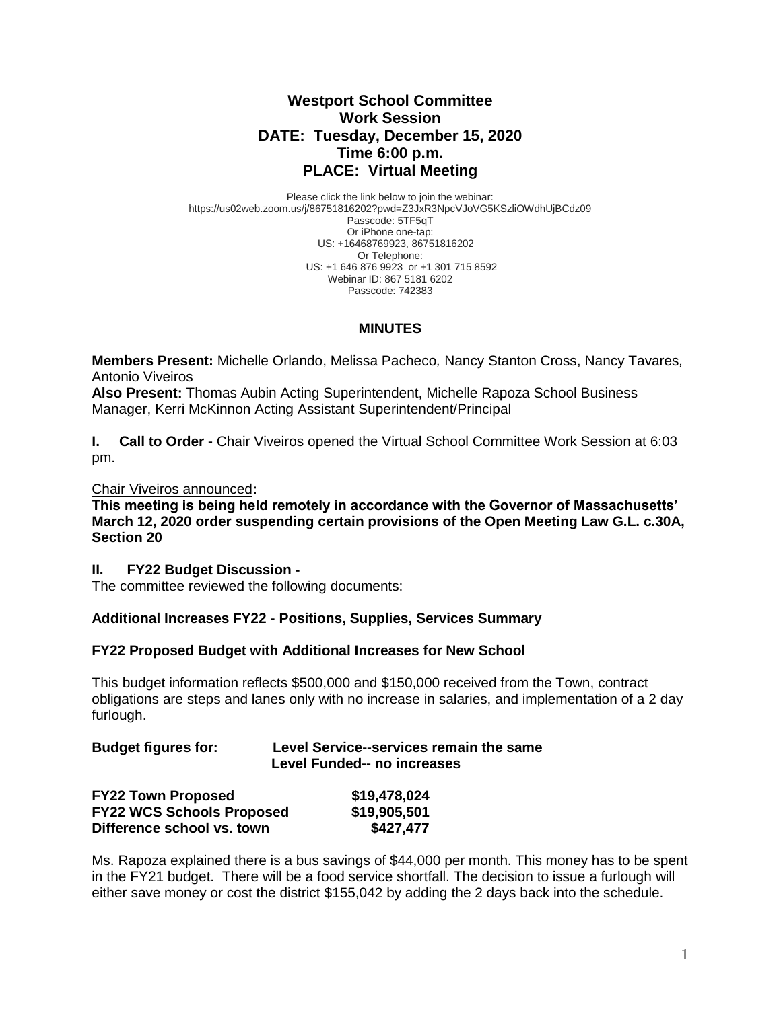# **Westport School Committee Work Session DATE: Tuesday, December 15, 2020 Time 6:00 p.m. PLACE: Virtual Meeting**

Please click the link below to join the webinar: https://us02web.zoom.us/j/86751816202?pwd=Z3JxR3NpcVJoVG5KSzliOWdhUjBCdz09 Passcode: 5TF5qT Or iPhone one-tap: US: +16468769923, 86751816202 Or Telephone: US: +1 646 876 9923 or +1 301 715 8592 Webinar ID: 867 5181 6202 Passcode: 742383

# **MINUTES**

**Members Present:** Michelle Orlando, Melissa Pacheco*,* Nancy Stanton Cross, Nancy Tavares*,*  Antonio Viveiros

**Also Present:** Thomas Aubin Acting Superintendent, Michelle Rapoza School Business Manager, Kerri McKinnon Acting Assistant Superintendent/Principal

**I.** Call to Order - Chair Viveiros opened the Virtual School Committee Work Session at 6:03 pm.

### Chair Viveiros announced**:**

**This meeting is being held remotely in accordance with the Governor of Massachusetts' March 12, 2020 order suspending certain provisions of the Open Meeting Law G.L. c.30A, Section 20**

#### **II. FY22 Budget Discussion -**

The committee reviewed the following documents:

# **Additional Increases FY22 - Positions, Supplies, Services Summary**

#### **FY22 Proposed Budget with Additional Increases for New School**

This budget information reflects \$500,000 and \$150,000 received from the Town, contract obligations are steps and lanes only with no increase in salaries, and implementation of a 2 day furlough.

### **Budget figures for: Level Service--services remain the same Level Funded-- no increases**

| <b>FY22 Town Proposed</b>        | \$19,478,024 |
|----------------------------------|--------------|
| <b>FY22 WCS Schools Proposed</b> | \$19,905,501 |
| Difference school vs. town       | \$427,477    |

Ms. Rapoza explained there is a bus savings of \$44,000 per month. This money has to be spent in the FY21 budget. There will be a food service shortfall. The decision to issue a furlough will either save money or cost the district \$155,042 by adding the 2 days back into the schedule.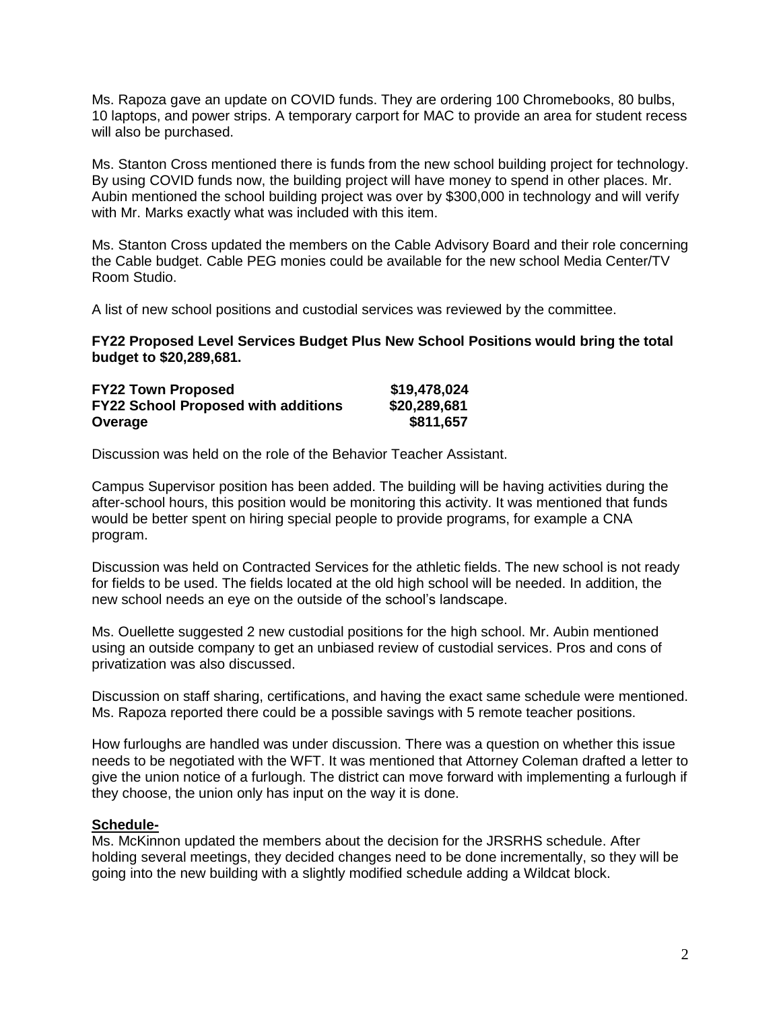Ms. Rapoza gave an update on COVID funds. They are ordering 100 Chromebooks, 80 bulbs, 10 laptops, and power strips. A temporary carport for MAC to provide an area for student recess will also be purchased.

Ms. Stanton Cross mentioned there is funds from the new school building project for technology. By using COVID funds now, the building project will have money to spend in other places. Mr. Aubin mentioned the school building project was over by \$300,000 in technology and will verify with Mr. Marks exactly what was included with this item.

Ms. Stanton Cross updated the members on the Cable Advisory Board and their role concerning the Cable budget. Cable PEG monies could be available for the new school Media Center/TV Room Studio.

A list of new school positions and custodial services was reviewed by the committee.

**FY22 Proposed Level Services Budget Plus New School Positions would bring the total budget to \$20,289,681.**

| <b>FY22 Town Proposed</b>                  | \$19,478,024 |
|--------------------------------------------|--------------|
| <b>FY22 School Proposed with additions</b> | \$20,289,681 |
| Overage                                    | \$811,657    |

Discussion was held on the role of the Behavior Teacher Assistant.

Campus Supervisor position has been added. The building will be having activities during the after-school hours, this position would be monitoring this activity. It was mentioned that funds would be better spent on hiring special people to provide programs, for example a CNA program.

Discussion was held on Contracted Services for the athletic fields. The new school is not ready for fields to be used. The fields located at the old high school will be needed. In addition, the new school needs an eye on the outside of the school's landscape.

Ms. Ouellette suggested 2 new custodial positions for the high school. Mr. Aubin mentioned using an outside company to get an unbiased review of custodial services. Pros and cons of privatization was also discussed.

Discussion on staff sharing, certifications, and having the exact same schedule were mentioned. Ms. Rapoza reported there could be a possible savings with 5 remote teacher positions.

How furloughs are handled was under discussion. There was a question on whether this issue needs to be negotiated with the WFT. It was mentioned that Attorney Coleman drafted a letter to give the union notice of a furlough. The district can move forward with implementing a furlough if they choose, the union only has input on the way it is done.

### **Schedule-**

Ms. McKinnon updated the members about the decision for the JRSRHS schedule. After holding several meetings, they decided changes need to be done incrementally, so they will be going into the new building with a slightly modified schedule adding a Wildcat block.